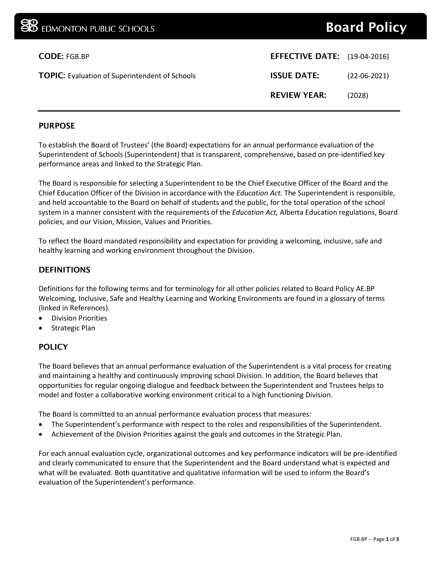# Board Policy

| <b>CODE: FGB.BP</b>                                   | <b>EFFECTIVE DATE:</b> (19-04-2016) |                |
|-------------------------------------------------------|-------------------------------------|----------------|
| <b>TOPIC:</b> Evaluation of Superintendent of Schools | <b>ISSUE DATE:</b>                  | $(22-06-2021)$ |
|                                                       | <b>REVIEW YEAR:</b>                 | (2028)         |
|                                                       |                                     |                |

## PURPOSE

To establish the Board of Trustees' (the Board) expectations for an annual performance evaluation of the Superintendent of Schools (Superintendent) that is transparent, comprehensive, based on pre-identified key performance areas and linked to the Strategic Plan.

The Board is responsible for selecting a Superintendent to be the Chief Executive Officer of the Board and the Chief Education Officer of the Division in accordance with the *Education Act.* The Superintendent is responsible, and held accountable to the Board on behalf of students and the public, for the total operation of the school system in a manner consistent with the requirements of the *Education Act,* Alberta Education regulations, Board policies, and our Vision, Mission, Values and Priorities.

To reflect the Board mandated responsibility and expectation for providing a welcoming, inclusive, safe and healthy learning and working environment throughout the Division.

#### DEFINITIONS

Definitions for the following terms and for terminology for all other policies related to Board Policy AE.BP Welcoming, Inclusive, Safe and Healthy Learning and Working Environments are found in a glossary of terms (linked in References).

- Division Priorities
- Strategic Plan

# **POLICY**

The Board believes that an annual performance evaluation of the Superintendent is a vital process for creating and maintaining a healthy and continuously improving school Division. In addition, the Board believes that opportunities for regular ongoing dialogue and feedback between the Superintendent and Trustees helps to model and foster a collaborative working environment critical to a high functioning Division.

The Board is committed to an annual performance evaluation process that measures:

- The Superintendent's performance with respect to the roles and responsibilities of the Superintendent.
- Achievement of the Division Priorities against the goals and outcomes in the Strategic Plan.

For each annual evaluation cycle, organizational outcomes and key performance indicators will be pre-identified and clearly communicated to ensure that the Superintendent and the Board understand what is expected and what will be evaluated. Both quantitative and qualitative information will be used to inform the Board's evaluation of the Superintendent's performance.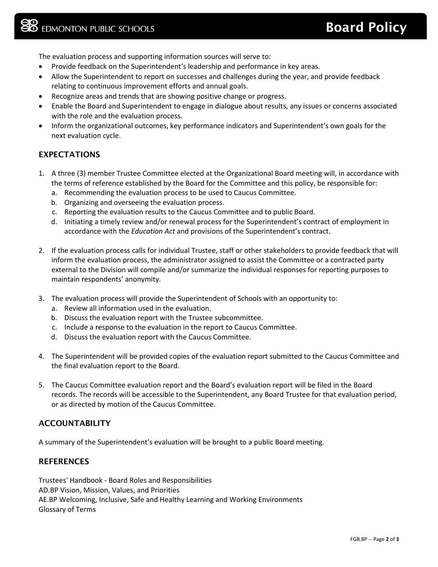The evaluation process and supporting information sources will serve to:

- Provide feedback on the Superintendent's leadership and performance in key areas.
- Allow the Superintendent to report on successes and challenges during the year, and provide feedback relating to continuous improvement efforts and annual goals.
- Recognize areas and trends that are showing positive change or progress.
- Enable the Board and Superintendent to engage in dialogue about results, any issues or concerns associated with the role and the evaluation process.
- Inform the organizational outcomes, key performance indicators and Superintendent's own goals for the next evaluation cycle.

## EXPECTATIONS

- 1. A three (3) member Trustee Committee elected at the Organizational Board meeting will, in accordance with the terms of reference established by the Board for the Committee and this policy, be responsible for:
	- a. Recommending the evaluation process to be used to Caucus Committee.
	- b. Organizing and overseeing the evaluation process.
	- c. Reporting the evaluation results to the Caucus Committee and to public Board.
	- d. Initiating a timely review and/or renewal process for the Superintendent's contract of employment in accordance with the *Education Act* and provisions of the Superintendent's contract.
- 2. If the evaluation process calls for individual Trustee, staff or other stakeholders to provide feedback that will inform the evaluation process, the administrator assigned to assist the Committee or a contracted party external to the Division will compile and/or summarize the individual responses for reporting purposes to maintain respondents' anonymity.
- 3. The evaluation process will provide the Superintendent of Schools with an opportunity to:
	- a. Review all information used in the evaluation.
	- b. Discuss the evaluation report with the Trustee subcommittee.
	- c. Include a response to the evaluation in the report to Caucus Committee.
	- d. Discuss the evaluation report with the Caucus Committee.
- 4. The Superintendent will be provided copies of the evaluation report submitted to the Caucus Committee and the final evaluation report to the Board.
- 5. The Caucus Committee evaluation report and the Board's evaluation report will be filed in the Board records. The records will be accessible to the Superintendent, any Board Trustee for that evaluation period, or as directed by motion of the Caucus Committee.

#### ACCOUNTABILITY

A summary of the Superintendent's evaluation will be brought to a public Board meeting.

#### **REFERENCES**

Trustees' Handbook - Board Roles and Responsibilities AD.BP Vision, Mission, Values, and Priorities AE.BP Welcoming, Inclusive, Safe and Healthy Learning and Working Environments Glossary of Terms